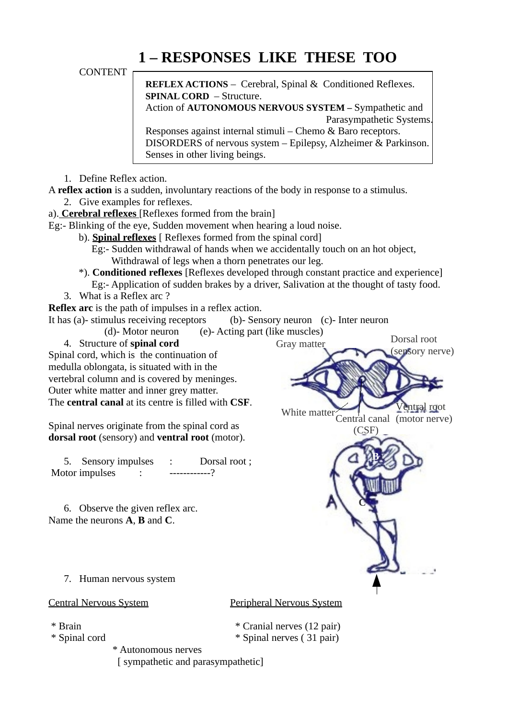## **1 – RESPONSES LIKE THESE TOO**

CONTENT

**REFLEX ACTIONS** – Cerebral, Spinal & Conditioned Reflexes. **SPINAL CORD** – Structure. Action of **AUTONOMOUS NERVOUS SYSTEM –** Sympathetic and

Parasympathetic Systems.

Responses against internal stimuli – Chemo & Baro receptors. DISORDERS of nervous system – Epilepsy, Alzheimer & Parkinson. Senses in other living beings.

1. Define Reflex action.

A **reflex action** is a sudden, involuntary reactions of the body in response to a stimulus.

- 2. Give examples for reflexes.
- a). **Cerebral reflexes** [Reflexes formed from the brain]

Eg:- Blinking of the eye, Sudden movement when hearing a loud noise.

- b). **Spinal reflexes** [ Reflexes formed from the spinal cord]
	- Eg:- Sudden withdrawal of hands when we accidentally touch on an hot object, Withdrawal of legs when a thorn penetrates our leg.
- \*). **Conditioned reflexes** [Reflexes developed through constant practice and experience] Eg:- Application of sudden brakes by a driver, Salivation at the thought of tasty food.
- 3. What is a Reflex arc ?

**Reflex arc** is the path of impulses in a reflex action.

It has (a)- stimulus receiving receptors (b)- Sensory neuron (c)- Inter neuron

(d)- Motor neuron (e)- Acting part (like muscles)

4. Structure of **spinal cord**

Spinal cord, which is the continuation of medulla oblongata, is situated with in the vertebral column and is covered by meninges. Outer white matter and inner grey matter. The **central canal** at its centre is filled with **CSF**.

Spinal nerves originate from the spinal cord as **dorsal root** (sensory) and **ventral root** (motor).

5. Sensory impulses : Dorsal root ; Motor impulses :  $\cdots$  -----------?

6. Observe the given reflex arc. Name the neurons **A**, **B** and **C**.



7. Human nervous system

Central Nervous System Peripheral Nervous System

- 
- 
- 
- \* Brain \* Cranial nerves (12 pair)
- \* Spinal cord \* Spinal nerves ( 31 pair)

 \* Autonomous nerves [ sympathetic and parasympathetic]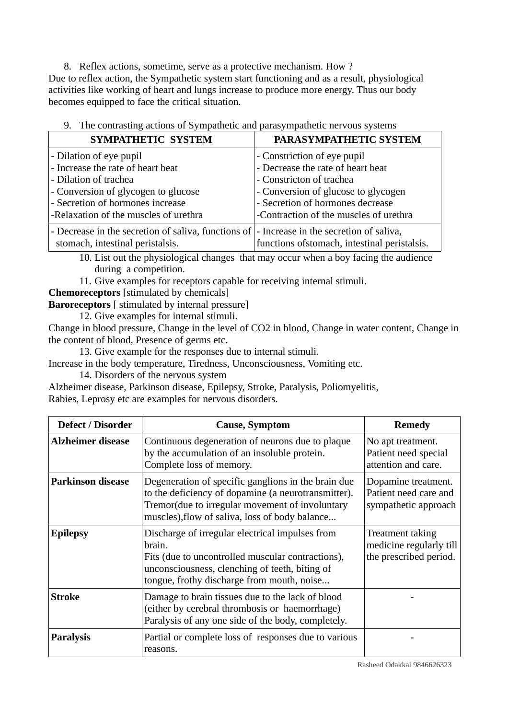8. Reflex actions, sometime, serve as a protective mechanism. How ? Due to reflex action, the Sympathetic system start functioning and as a result, physiological activities like working of heart and lungs increase to produce more energy. Thus our body becomes equipped to face the critical situation.

| 9. The contrasting actions of byinpathetic and parasympathetic nervous systems                     |                                               |  |  |  |
|----------------------------------------------------------------------------------------------------|-----------------------------------------------|--|--|--|
| SYMPATHETIC SYSTEM                                                                                 | PARASYMPATHETIC SYSTEM                        |  |  |  |
| - Dilation of eye pupil                                                                            | - Constriction of eye pupil                   |  |  |  |
| - Increase the rate of heart beat                                                                  | - Decrease the rate of heart beat             |  |  |  |
| - Dilation of trachea                                                                              | - Constricton of trachea                      |  |  |  |
| - Conversion of glycogen to glucose                                                                | - Conversion of glucose to glycogen           |  |  |  |
| - Secretion of hormones increase                                                                   | - Secretion of hormones decrease              |  |  |  |
| -Relaxation of the muscles of urethra                                                              | -Contraction of the muscles of urethra        |  |  |  |
| - Decrease in the secretion of saliva, functions of $\vert$ - Increase in the secretion of saliva, |                                               |  |  |  |
| stomach, intestinal peristalsis.                                                                   | functions of stomach, intestinal peristalsis. |  |  |  |

|  | 9. The contrasting actions of Sympathetic and parasympathetic nervous systems |  |  |  |  |  |  |  |
|--|-------------------------------------------------------------------------------|--|--|--|--|--|--|--|
|--|-------------------------------------------------------------------------------|--|--|--|--|--|--|--|

10. List out the physiological changes that may occur when a boy facing the audience during a competition.

11. Give examples for receptors capable for receiving internal stimuli.

**Chemoreceptors** [stimulated by chemicals]

**Baroreceptors** [ stimulated by internal pressure]

12. Give examples for internal stimuli.

Change in blood pressure, Change in the level of CO2 in blood, Change in water content, Change in the content of blood, Presence of germs etc.

13. Give example for the responses due to internal stimuli.

Increase in the body temperature, Tiredness, Unconsciousness, Vomiting etc.

14. Disorders of the nervous system

Alzheimer disease, Parkinson disease, Epilepsy, Stroke, Paralysis, Poliomyelitis, Rabies, Leprosy etc are examples for nervous disorders.

| <b>Defect / Disorder</b> | <b>Cause, Symptom</b>                                                                                                                                                                                           | <b>Remedy</b>                                                         |
|--------------------------|-----------------------------------------------------------------------------------------------------------------------------------------------------------------------------------------------------------------|-----------------------------------------------------------------------|
| Alzheimer disease        | Continuous degeneration of neurons due to plaque<br>by the accumulation of an insoluble protein.<br>Complete loss of memory.                                                                                    | No apt treatment.<br>Patient need special<br>attention and care.      |
| <b>Parkinson disease</b> | Degeneration of specific ganglions in the brain due<br>to the deficiency of dopamine (a neurotransmitter).<br>Tremor(due to irregular movement of involuntary<br>muscles), flow of saliva, loss of body balance | Dopamine treatment.<br>Patient need care and<br>sympathetic approach  |
| <b>Epilepsy</b>          | Discharge of irregular electrical impulses from<br>brain.<br>Fits (due to uncontrolled muscular contractions),<br>unconsciousness, clenching of teeth, biting of<br>tongue, frothy discharge from mouth, noise  | Treatment taking<br>medicine regularly till<br>the prescribed period. |
| <b>Stroke</b>            | Damage to brain tissues due to the lack of blood<br>(either by cerebral thrombosis or haemorrhage)<br>Paralysis of any one side of the body, completely.                                                        |                                                                       |
| <b>Paralysis</b>         | Partial or complete loss of responses due to various<br>reasons.                                                                                                                                                |                                                                       |

Rasheed Odakkal 9846626323